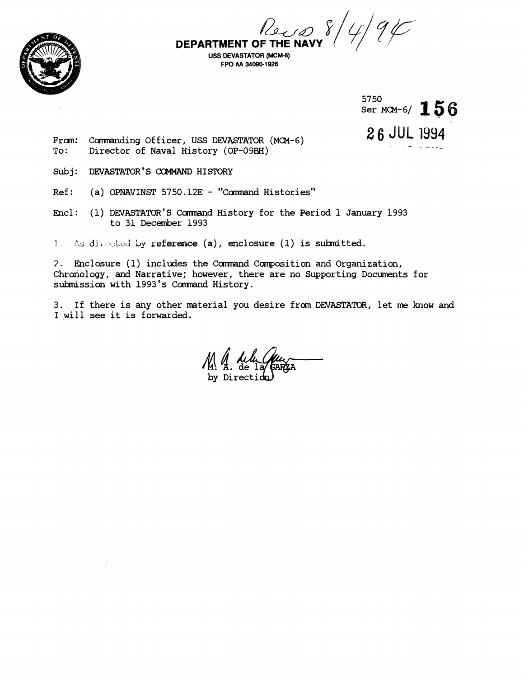

DEPARTMENT OF THE NAVY  $\frac{1}{2}$ 

**USS DEVASTATOR (MCM-6) FPO AA 340901 926** 



**26** JUL I994

From: Commanding Officer, USS DEVASTATOR (MCM-6)<br>To: Director of Naval History (OP-09BH) Director of Naval History (OP-09BH)

- Subj: DEVASTATOR'S CQMMAND HISTORY
- Ref: (a) OPNAVINST 5750.12E "Command Histories"

Encl: (1) DEVASTATOR'S Command History for the Period 1 January 1993 to 31 December 1993

<sup>1</sup>?is **dii.:t..\i:ci** by **reference** (a), enclosure (1) is sulmitted.

2. Enclosure (1) includes the Command Composition and Organization, Chronology, and Narrative; however, there are no Supporting Documents for submission with 1993's Command History.

3. If there is any other material you desire from DEVASTATOR, let me know and I will see it is forwarded.

 $\frac{1}{M}$ .  $\frac{1}{M}$ . de lay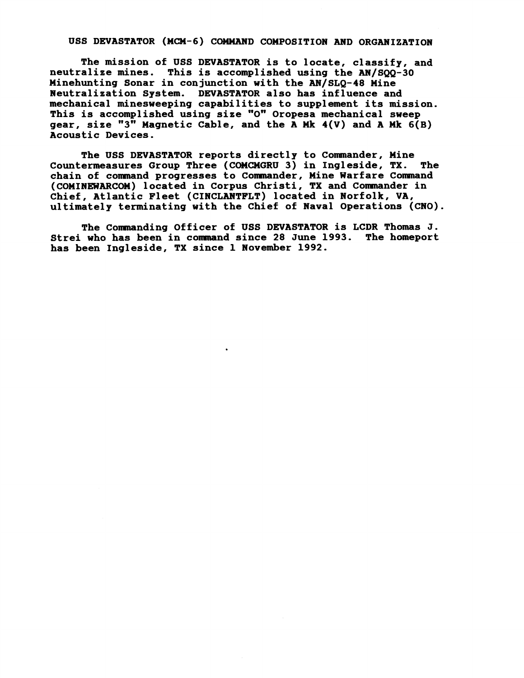## USS DEVASTATOR (MCM-6) COMMAND COMPOSITION AND ORGANIZATION

**The mission of USS DEVASTATOR is to locate, classify, and**  neutralize mines. This is accomplished using the AN/SQQ-30 **Minehunting Sonar in conjunction with the AN/SLQ-48 Mine Neutralization System. DEVASTATOR also has influence and mechanical minesweeping capabilities to supplement its mission.**  This is accomplished using size "O" Oropesa mechanical sweep gear, size "3" Magnetic Cable, and the A Mk  $4(V)$  and A Mk  $6(B)$ **Acoustic Devices.** 

**The USS DEVASTATOR reports directly to Commander, Mine**  Countermeasures Group Three (COMCMGRU 3) in Ingleside, TX. **chain of comnand progresses to Comnander, Mine Warfare Conmand (COMINEWiRCW) located in Corpus Christi, TX and Comnander in Chief, Atlantic Fleet (CINCLANTFLT) located in Norfolk, VA, ultimately terminating with the Chief of Naval Operations (CNO).** 

**The Comnanding Officer of USS DEVASTATOR is LCDR Thomas J. Strei who has been in comnand since 28 June 1993. The homeport has been Ingleside, TX since 1 November 1992.**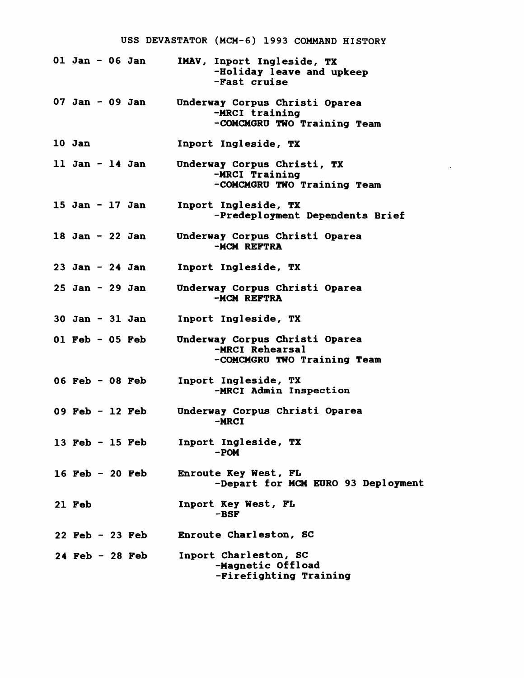|                     |  |                     | USS DEVASTATOR (MCM-6) 1993 COMMAND HISTORY                                      |
|---------------------|--|---------------------|----------------------------------------------------------------------------------|
| 01 Jan - 06 Jan     |  |                     | IMAV, Inport Ingleside, TX<br>-Holiday leave and upkeep<br>-Fast cruise          |
| $07$ Jan - 09 Jan   |  |                     | Underway Corpus Christi Oparea<br>-MRCI training<br>-COMCMGRU TWO Training Team  |
| 10 Jan              |  |                     | Inport Ingleside, TX                                                             |
| 11 Jan $-$ 14 Jan   |  |                     | Underway Corpus Christi, TX<br>-MRCI Training<br>-COMCMGRU TWO Training Team     |
| 15 Jan - 17 Jan     |  |                     | Inport Ingleside, TX<br>-Predeployment Dependents Brief                          |
| 18 Jan - 22 Jan     |  |                     | Underway Corpus Christi Oparea<br>-MCM REFTRA                                    |
| $23$ Jan - $24$ Jan |  |                     | Inport Ingleside, TX                                                             |
| $25$ Jan - $29$ Jan |  |                     | Underway Corpus Christi Oparea<br>-MCM REFTRA                                    |
| $30$ Jan - $31$ Jan |  |                     | Inport Ingleside, TX                                                             |
| 01 Feb - 05 Feb     |  |                     | Underway Corpus Christi Oparea<br>-MRCI Rehearsal<br>-COMCMGRU TWO Training Team |
| $06$ Feb - $08$ Feb |  |                     | Inport Ingleside, TX<br>-MRCI Admin Inspection                                   |
|                     |  | $09$ Feb - 12 Feb   | Underway Corpus Christi Oparea<br>-MKCT                                          |
|                     |  | 13 Feb $-$ 15 Feb   | Inport Ingleside, TX<br>$-$ POM                                                  |
|                     |  | $16$ Feb - 20 Feb   | Enroute Key West, FL<br>-Depart for MCM EURO 93 Deployment                       |
| 21 Feb              |  |                     | Inport Key West, FL<br>-BSF                                                      |
|                     |  | $22$ Feb - $23$ Feb | Enroute Charleston, SC                                                           |
|                     |  | $24$ Feb - 28 Feb   | Inport Charleston, SC<br>-Magnetic Offload<br>-Firefighting Training             |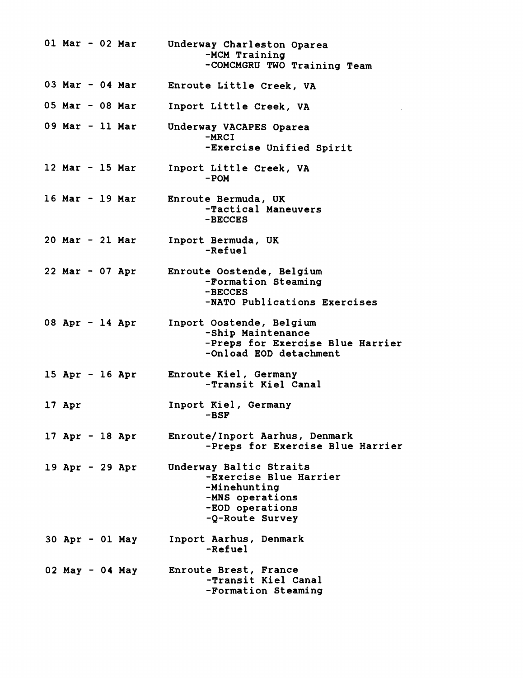**01 Mar** - **02 Mar 03 Mar** - **04 Mar 05 Mar** - **08 Mar 09 Mar** - **11 Mar 12 Mar** - **15 Mar 16 Mar** - **19 Mar 20 Mar** - **21 Mar 22 Mar** - **07 Apr 08 Apr** - **14 Apr 15 Apr** - **16 Apr 17 Apr 17 Apr** - **18 Apr 19 Apr** - **29 Apr 30 Apr** - **01 May 02 May** - **04 May Underway Charleston Oparea -MCM Training -COMCMGRU TWO Training Team Enroute Little Creek, VA Inport Little Creek, VA Underway VACAPES Oparea -MRCI -Exercise Unified Spirit Inport Little Creek, VA**  - **POM Enroute Bermuda, UK -Tactical Maneuvers -BECCES Inport Bermuda, UK -Refuel Enroute Oostende, Belgium -Formation Steaming -BECCES -NATO Publications Exercises Inport Oostende, Belgium -Ship Maintenance -Preps for Exercise Blue Harrier -0nload EOD detachment Enroute Kiel, Germany -Transit Kiel Canal Inport Kiel, Germany -BSF Enroute/Inport Aarhus, Denmark -Preps for Exercise Blue Harrier Underway Baltic Straits -Exercise Blue Harrier -Minehunting -MNS operations -EOD operations -Q-Route Survey Inport Aarhus, Denmark -Refuel Enroute Brest, France -Transit Kiel Canal -Formation Steaming**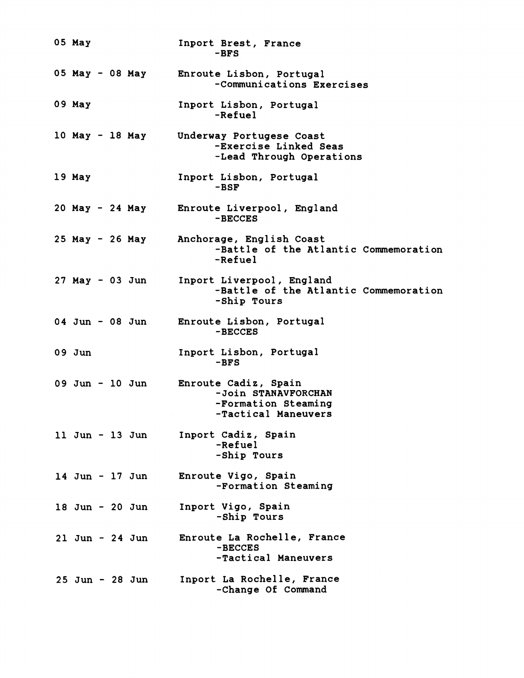| 05 May          |  |                     | Inport Brest, France<br>$-BFS$                                                                   |
|-----------------|--|---------------------|--------------------------------------------------------------------------------------------------|
|                 |  | 05 May - 08 May     | Enroute Lisbon, Portugal<br>-Communications Exercises                                            |
| 09 May          |  |                     | Inport Lisbon, Portugal<br>-Refuel                                                               |
|                 |  | 10 May - 18 May     | Underway Portugese Coast<br>-Exercise Linked Seas<br>-Lead Through Operations                    |
| 19 May          |  |                     | Inport Lisbon, Portugal<br>$-BSF$                                                                |
|                 |  | 20 May - 24 May     | Enroute Liverpool, England<br>-BECCES                                                            |
|                 |  | 25 May - 26 May     | Anchorage, English Coast<br>-Battle of the Atlantic Commemoration<br>-Refuel                     |
|                 |  | $27$ May - 03 Jun   | Inport Liverpool, England<br>-Battle of the Atlantic Commemoration<br>-Ship Tours                |
| 04 Jun - 08 Jun |  |                     | Enroute Lisbon, Portugal<br>-BECCES                                                              |
| $09$ Jun        |  |                     | Inport Lisbon, Portugal<br>$-BFS$                                                                |
|                 |  | 09 Jun - 10 Jun     | <b>Enroute Cadiz, Spain</b><br>-Join STANAVFORCHAN<br>-Formation Steaming<br>-Tactical Maneuvers |
|                 |  | 11 Jun - 13 Jun     | Inport Cadiz, Spain<br>-Refuel<br>-Ship Tours                                                    |
|                 |  | $14$ Jun - $17$ Jun | Enroute Vigo, Spain<br>-Formation Steaming                                                       |
|                 |  | $18$ Jun - $20$ Jun | Inport Vigo, Spain<br>-Ship Tours                                                                |
|                 |  | $21$ Jun - $24$ Jun | Enroute La Rochelle, France<br>-BECCES<br>-Tactical Maneuvers                                    |
|                 |  | $25$ Jun - $28$ Jun | Inport La Rochelle, France<br>-Change Of Command                                                 |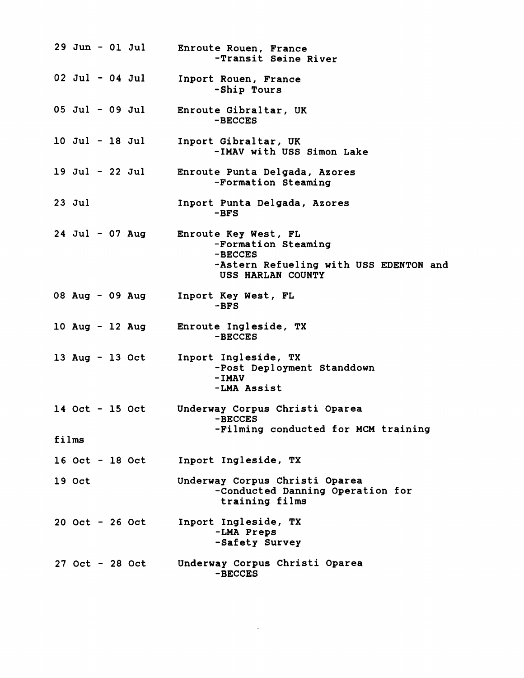|                                              |                   |  |  | <b>29 Jun - 01 Jul</b> | Enroute Rouen, France<br>-Transit Seine River                                                                                |
|----------------------------------------------|-------------------|--|--|------------------------|------------------------------------------------------------------------------------------------------------------------------|
|                                              |                   |  |  | $02$ Jul - $04$ Jul    | Inport Rouen, France<br>-Ship Tours                                                                                          |
|                                              |                   |  |  | $05$ Jul - 09 Jul      | Enroute Gibraltar, UK<br>-BECCES                                                                                             |
|                                              |                   |  |  | 10 Jul - 18 Jul        | Inport Gibraltar, UK<br>-IMAV with USS Simon Lake                                                                            |
|                                              |                   |  |  | 19 Jul - 22 Jul        | Enroute Punta Delgada, Azores<br>-Formation Steaming                                                                         |
|                                              | $23$ Jul          |  |  |                        | Inport Punta Delgada, Azores<br>$-BFS$                                                                                       |
|                                              |                   |  |  | $24$ Jul - 07 Aug      | <b>Enroute Key West, FL</b><br>-Formation Steaming<br>-BECCES<br>-Astern Refueling with USS EDENTON and<br>USS HARLAN COUNTY |
|                                              |                   |  |  | 08 Aug - 09 Aug        | Inport Key West, FL<br>$-BFS$                                                                                                |
|                                              |                   |  |  |                        | 10 Aug - 12 Aug Enroute Ingleside, TX<br>-BECCES                                                                             |
|                                              |                   |  |  | 13 Aug - 13 Oct        | Inport Ingleside, TX<br>-Post Deployment Standdown<br>$-I$ MAV<br>-LMA Assist                                                |
|                                              | 14 Oct - 15 Oct   |  |  |                        | Underway Corpus Christi Oparea<br>-BECCES                                                                                    |
| -Filming conducted for MCM training<br>films |                   |  |  |                        |                                                                                                                              |
|                                              |                   |  |  | $16$ Oct - $18$ Oct    | Inport Ingleside, TX                                                                                                         |
|                                              | $19$ Oct          |  |  |                        | Underway Corpus Christi Oparea<br>-Conducted Danning Operation for<br>training films                                         |
|                                              |                   |  |  | $20$ Oct - $26$ Oct    | Inport Ingleside, TX<br>-LMA Preps<br>-Safety Survey                                                                         |
|                                              | $27$ Oct - 28 Oct |  |  |                        | Underway Corpus Christi Oparea<br>-BECCES                                                                                    |

 $\mathcal{L}^{\text{max}}_{\text{max}}$  , where  $\mathcal{L}^{\text{max}}_{\text{max}}$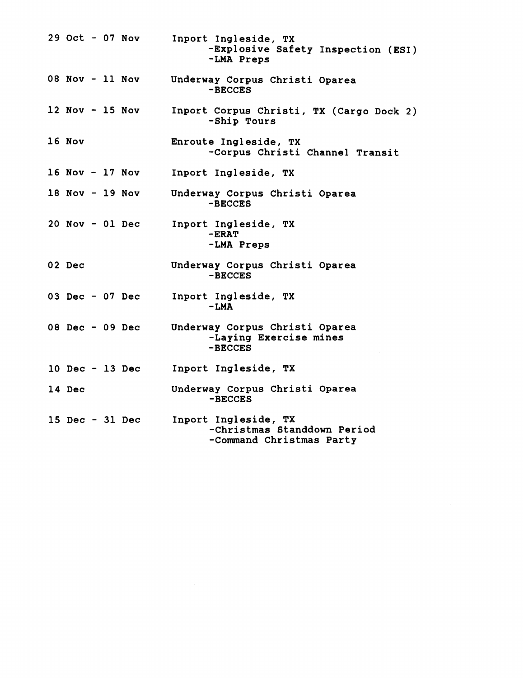| $29$ Oct - 07 Nov |  | Inport Ingleside, TX<br>-Explosive Safety Inspection (ESI)<br>-LMA Preps        |
|-------------------|--|---------------------------------------------------------------------------------|
| 08 Nov - 11 Nov   |  | Underway Corpus Christi Oparea<br>-BECCES                                       |
| $12$ Nov - 15 Nov |  | Inport Corpus Christi, TX (Cargo Dock 2)<br>-Ship Tours                         |
| 16 Nov            |  | Enroute Ingleside, TX<br>-Corpus Christi Channel Transit                        |
| $16$ Nov - 17 Nov |  | Inport Ingleside, TX                                                            |
| 18 Nov - 19 Nov   |  | Underway Corpus Christi Oparea<br>-BECCES                                       |
| $20$ Nov - 01 Dec |  | Inport Ingleside, TX<br>$-ERAT$<br>-LMA Preps                                   |
| 02 Dec            |  | Underway Corpus Christi Oparea<br>-BECCES                                       |
| 03 Dec - 07 Dec   |  | Inport Ingleside, TX<br>$-LMA$                                                  |
| 08 Dec - 09 Dec   |  | Underway Corpus Christi Oparea<br>-Laying Exercise mines<br>-BECCES             |
| 10 Dec - 13 Dec   |  | Inport Ingleside, TX                                                            |
| 14 Dec            |  | Underway Corpus Christi Oparea<br>-BECCES                                       |
| 15 Dec - 31 Dec   |  | Inport Ingleside, TX<br>-Christmas Standdown Period<br>-Command Christmas Party |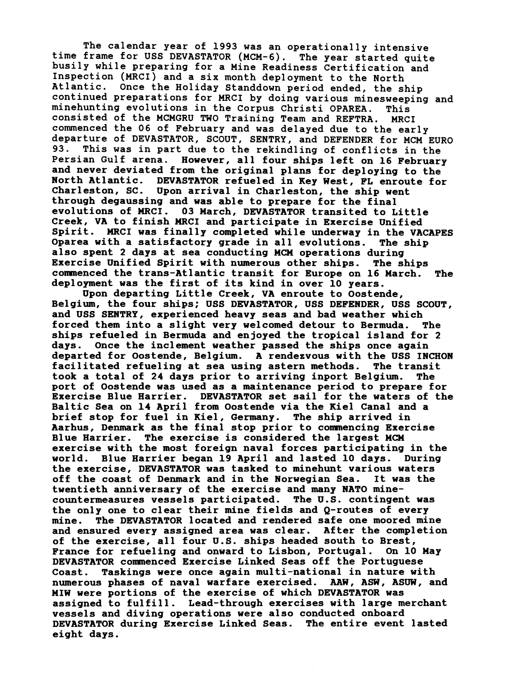**he calendar year of 1993 was an operationally intensive**  busily while preparing for a Mine Readiness Certification and **Inspection (MRCI) and a six month deployment to the North Atlantic. Once the Holiday Standdown period ended, the ship continued preparations for MRCI by doing various minesweeping and minehunting evolutions in the Corpus Christi OPAREA. This consisted of the MCMGRU TWO Training Team and REFTRA. MRCI commenced the 06 of February and was delayed due to the early departure of DEVASTATOR, SCOUT, SENTRY, and DEFENDER for MCM EURO 93. This was in part due to the rekindling of conflicts in the Persian Gulf arena. However, all four ships left on 16 February and never deviated from the original plans for deploying to the North Atlantic. DEVASTATOR refueled in Key West, FL enroute for Charleston, SC. Upon arrival in Charleston, the ship went through degaussing and was able to prepare for the final evolutions of MRCI. 03 March, DEVASTATOR transited to Little Creek, VA to finish MRCI and participate in Exercise Unified Spirit. MRCI was finally completed while underway in the VACAPES Oparea with a satisfactory grade in all evolutions. The ship also spent 2 days at sea conducting MCn operations during Exercise Unified Spirit with numerous other ships. The ships comnenced the trans-Atlantic transit for Europe on 16 March. The deployment was the first of its kind in over 10 years.** 

**Upon departing Little Creek, VA enroute to Oostende, Belgium, the four ships; USS DEVASTATOR, USS DEFENDER, USS SCOUT, and USS SENTRY, experienced heavy seas and bad weather which forced them into a slight very welcomed detour to Bermuda. The ships refueled in Bermuda and enjoyed the tropical island for 2 days. Once the inclement weather passed the ships once again departed for Oostende, Belgium. A rendezvous with the USS INCHON**  facilitated refueling at sea using astern methods. The transit **took a total of 24 days prior to arriving inport Belgium. The port of Oostende was used as a maintenance period to prepare for Exercise Blue Harrier. DEVASTATOR set sail for the waters of the Baltic Sea on 14 April from Oostende via the Kiel Canal and a brief stop for fuel in Kiel, Germany. The ship arrived in Aarhus, Denmark as the final stop prior to comnencing Exercise Blue Harrier. The exercise is considered the largest MCn exercise with the most foreign naval forces participating in the world. Blue Harrier began 19 April and lasted 10 days. During the exercise, DEVASTATOR was tasked to minehunt various waters**  off the coast of Denmark and in the Norwegian Sea. **twentieth anniversary of the exercise and many NATO minecountermeasures vessels participated. The U.S. contingent was the only one to clear their mine fields and Q-routes of every mine. The DEVASTATOR located and rendered safe one moored mine and ensured every assigned area was clear. After the completion of the exercise, all four U.S. ships headed south to Brest, France for refueling and onward to Lisbon, Portugal. On 10 May DEVASTATOR comenced Exercise Linked Seas off the Portuguese Coast. Taskings were once again multi-national in nature with**  numerous phases of naval warfare exercised. AAW, ASW, ASUW, and **MIw were portions of the exercise of which DEVASTATOR was assigned to fulfill. Lead-through exercises with large merchant vessels and diving operations were also conducted onboard DEVASTATOR during Exercise Linked Seas. The entire event lasted eight days.**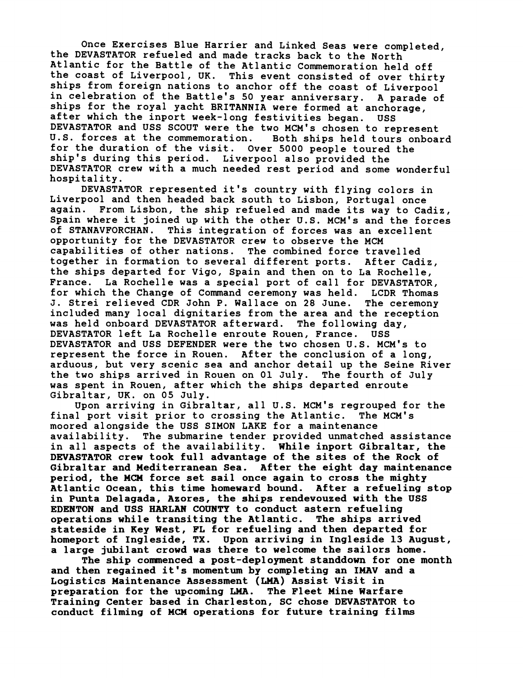**Once Exercises Blue Harrier and Linked Seas were completed, the DEVASTATOR refueled and made tracks back to the North Atlantic for the Battle of the Atlantic Commemoration held off the coast of Liverpool, UK. This event consisted of over thirty ships from foreign nations to anchor off the coast of Liverpool in celebration of the Battle's 50 year anniversary. A parade of ships for the royal yacht BRITANNIA were formed at anchorage, after which the inport week-long festivities began. uss DEVASTATOR and USS SCOUT were the two MCM's chosen to represent**  U.S. forces at the commemoration. **for the duration of the visit. Over 5000 people toured the ship's during this period. Liverpool also provided the DEVASTATOR crew with a much needed rest period and some wonderful hospitality.** 

**DEVASTATOR represented it's country with flying colors in Liverpool and then headed back south to Lisbon, Portugal once again. From Lisbon, the ship refueled and made its way to Cadiz, Spain where it joined up with the other U.S. MCM's and the forces of STANAVFORCHAN. This integration of forces was an excellent opportunity for the DEVASTATOR crew to observe the MCM capabilities of other nations. The combined force travelled together in formation to several different ports. After Cadiz, the ships departed for Vigo, Spain and then on to La Rochelle, France. La Rochelle was a special port of call for DEVASTATOR, for which the Change of Command ceremony was held. LCDR Thomas J. Strei relieved CDR John P. Wallace on 28 June. The ceremony included many local dignitaries from the area and the reception was held onboard DEVASTATOR afterward. The following day, DEVASTATOR left La Rochelle enroute Rouen, France. USS DEVASTATOR and USS DEFENDER were the two chosen U.S. MCM's to represent the force in Rouen. After the conclusion of a long, arduous, but very scenic sea and anchor detail up the Seine River the two ships arrived in Rouen on 01 July. The fourth of July was spent in Rouen, after which the ships departed enroute Gibraltar, UK. on 05 July.** 

**Upon arriving in Gibraltar, all U.S. MCM'S regrouped for the final port visit prior to crossing the Atlantic. The MCM's moored alongside the USS SIMON LAKE for a maintenance availability. The submarine tender provided unmatched assistance in all aspects of the availability. While inport Gibraltar, the DEVASTATOR crew took full advantage of the sites of the Rock of Gibraltar and Mediterranean Sea. After the eight day maintenance period, the MCM force set sail once again to cross the mighty Atlantic Ocean, this time homeward bound. After a refueling stop in Punta Delagada, Azores, the ships rendevouzed with the USS EDENTON and USS HARLAN COUNTY to conduct astern refueling operations while transiting the Atlantic. The ships arrived stateside in Key West, FL for refueling and then departed for homeport of Ingleside, TX. Upon arriving in Ingleside 13 August, a large jubilant crowd was there to welcome the sailors home.** 

**The ship comnenced a post-deployment standdown for one month and then regained it's momentum by completing an IMAV and a Logistics Maintenance Assessment (MA) Assist Visit in preparation for the upcoming** LMA. **The Fleet Mine Warfare Training Center based in Charleston, SC chose DEVASTATOR to conduct filming of NCM operations for future training films**